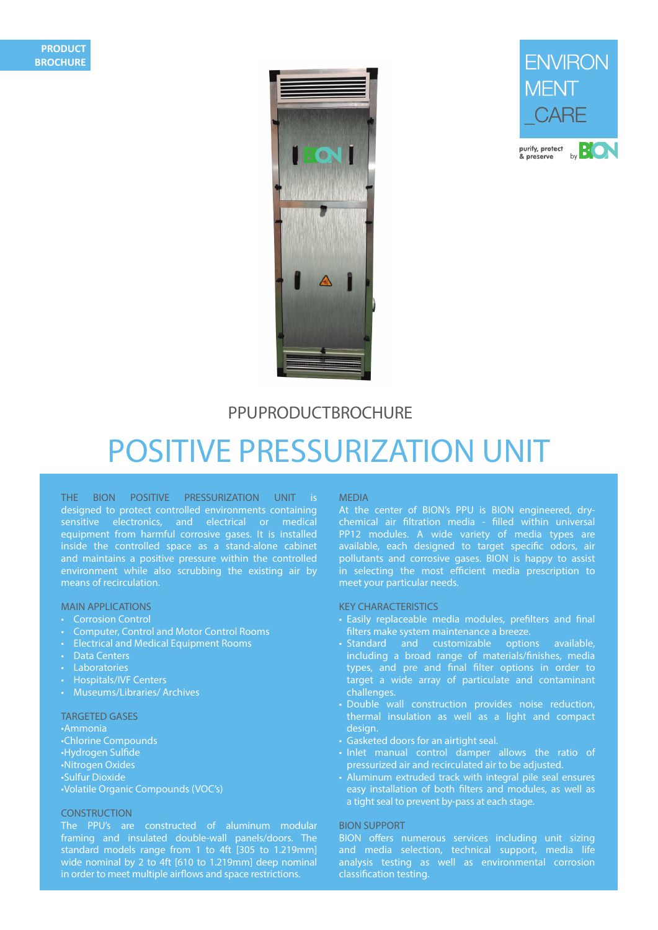



# **PPUPRODUCTBROCHURE**

# POSITIVE PRESSURIZATION UNIT

THE BION POSITIVE PRESSURIZATION UNIT is designed to protect controlled environments containing sensitive electronics, and electrical or medical equipment from harmful corrosive gases. It is installed inside the controlled space as a stand-alone cabinet and maintains a positive pressure within the controlled environment while also scrubbing the existing air by means of recirculation.

## MAIN APPLICATIONS

- Corrosion Control
- Computer, Control and Motor Control Rooms
- Electrical and Medical Equipment Rooms
- Data Centers
- **Laboratories**
- Hospitals/IVF Centers
- Museums/Libraries/ Archives

#### TARGETED GASES

•Ammonia •Chlorine Compounds •Hydrogen Sulfide •Nitrogen Oxides •Sulfur Dioxide •Volatile Organic Compounds (VOC's)

## **CONSTRUCTION**

The PPU's are constructed of aluminum modular framing and insulated double-wall panels/doors. The standard models range from 1 to 4ft [305 to 1.219mm] wide nominal by 2 to 4ft [610 to 1.219mm] deep nominal in order to meet multiple airflows and space restrictions.

#### MEDIA

At the center of BION's PPU is BION engineered, drychemical air filtration media - filled within universal PP12 modules. A wide variety of media types are available, each designed to target specific odors, air pollutants and corrosive gases. BION is happy to assist in selecting the most efficient media prescription to meet your particular needs.

#### KEY CHARACTERISTICS

- Easily replaceable media modules, prefilters and final filters make system maintenance a breeze.
- Standard and customizable options available, including a broad range of materials/finishes, media types, and pre and final filter options in order to target a wide array of particulate and contaminant challenges.
- Double wall construction provides noise reduction, thermal insulation as well as a light and compact design.
- Gasketed doors for an airtight seal.
- Inlet manual control damper allows the ratio of pressurized air and recirculated air to be adjusted.
- Aluminum extruded track with integral pile seal ensures easy installation of both filters and modules, as well as a tight seal to prevent by-pass at each stage.

#### BION SUPPORT

BION offers numerous services including unit sizing and media selection, technical support, media life analysis testing as well as environmental corrosion classification testing.